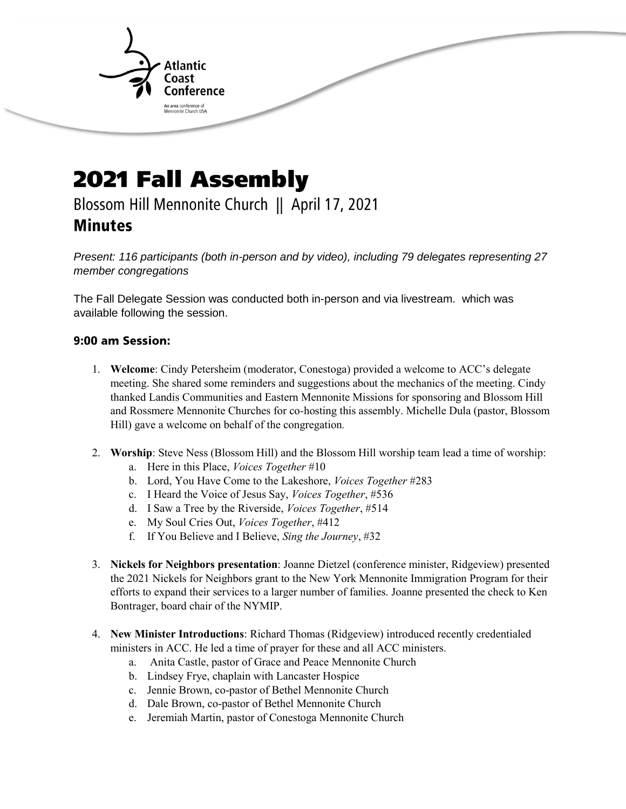

## **2021 Fall Assembly** Blossom Hill Mennonite Church || April 17, 2021 **Minutes**

*Present: 116 participants (both in-person and by video), including 79 delegates representing 27 member congregations* 

The Fall Delegate Session was conducted both in-person and via livestream. which was available following the session.

## 9:00 am Session:

- 1. **Welcome**: Cindy Petersheim (moderator, Conestoga) provided a welcome to ACC's delegate meeting. She shared some reminders and suggestions about the mechanics of the meeting. Cindy thanked Landis Communities and Eastern Mennonite Missions for sponsoring and Blossom Hill and Rossmere Mennonite Churches for co*-*hosting this assembly. Michelle Dula (pastor, Blossom Hill) gave a welcome on behalf of the congregation*.*
- 2. **Worship**: Steve Ness (Blossom Hill) and the Blossom Hill worship team lead a time of worship:
	- a. Here in this Place, *Voices Together* #10
	- b. Lord, You Have Come to the Lakeshore, *Voices Together* #283
	- c. I Heard the Voice of Jesus Say, *Voices Together*, #536
	- d. I Saw a Tree by the Riverside, *Voices Together*, #514
	- e. My Soul Cries Out, *Voices Together*, #412
	- f. If You Believe and I Believe, *Sing the Journey*, #32
- 3. **Nickels for Neighbors presentation**: Joanne Dietzel (conference minister, Ridgeview) presented the 2021 Nickels for Neighbors grant to the New York Mennonite Immigration Program for their efforts to expand their services to a larger number of families. Joanne presented the check to Ken Bontrager, board chair of the NYMIP.
- 4. **New Minister Introductions**: Richard Thomas (Ridgeview) introduced recently credentialed ministers in ACC. He led a time of prayer for these and all ACC ministers.
	- a. Anita Castle, pastor of Grace and Peace Mennonite Church
	- b. Lindsey Frye, chaplain with Lancaster Hospice
	- c. Jennie Brown, co-pastor of Bethel Mennonite Church
	- d. Dale Brown, co-pastor of Bethel Mennonite Church
	- e. Jeremiah Martin, pastor of Conestoga Mennonite Church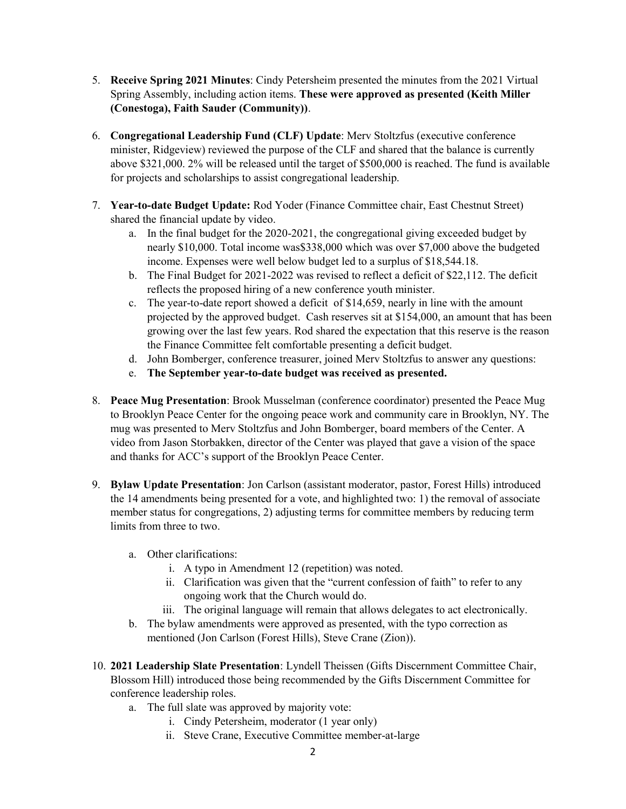- 5. **Receive Spring 2021 Minutes**: Cindy Petersheim presented the minutes from the 2021 Virtual Spring Assembly, including action items. **These were approved as presented (Keith Miller (Conestoga), Faith Sauder (Community))**.
- 6. **Congregational Leadership Fund (CLF) Update**: Merv Stoltzfus (executive conference minister, Ridgeview) reviewed the purpose of the CLF and shared that the balance is currently above \$321,000. 2% will be released until the target of \$500,000 is reached. The fund is available for projects and scholarships to assist congregational leadership.
- 7. **Year-to-date Budget Update:** Rod Yoder (Finance Committee chair, East Chestnut Street) shared the financial update by video.
	- a. In the final budget for the 2020-2021, the congregational giving exceeded budget by nearly \$10,000. Total income was\$338,000 which was over \$7,000 above the budgeted income. Expenses were well below budget led to a surplus of \$18,544.18.
	- b. The Final Budget for 2021-2022 was revised to reflect a deficit of \$22,112. The deficit reflects the proposed hiring of a new conference youth minister.
	- c. The year-to-date report showed a deficit of \$14,659, nearly in line with the amount projected by the approved budget. Cash reserves sit at \$154,000, an amount that has been growing over the last few years. Rod shared the expectation that this reserve is the reason the Finance Committee felt comfortable presenting a deficit budget.
	- d. John Bomberger, conference treasurer, joined Merv Stoltzfus to answer any questions:
	- e. **The September year-to-date budget was received as presented.**
- 8. **Peace Mug Presentation**: Brook Musselman (conference coordinator) presented the Peace Mug to Brooklyn Peace Center for the ongoing peace work and community care in Brooklyn, NY. The mug was presented to Merv Stoltzfus and John Bomberger, board members of the Center. A video from Jason Storbakken, director of the Center was played that gave a vision of the space and thanks for ACC's support of the Brooklyn Peace Center.
- 9. **Bylaw Update Presentation**: Jon Carlson (assistant moderator, pastor, Forest Hills) introduced the 14 amendments being presented for a vote, and highlighted two: 1) the removal of associate member status for congregations, 2) adjusting terms for committee members by reducing term limits from three to two.
	- a. Other clarifications:
		- i. A typo in Amendment 12 (repetition) was noted.
		- ii. Clarification was given that the "current confession of faith" to refer to any ongoing work that the Church would do.
		- iii. The original language will remain that allows delegates to act electronically.
	- b. The bylaw amendments were approved as presented, with the typo correction as mentioned (Jon Carlson (Forest Hills), Steve Crane (Zion)).
- 10. **2021 Leadership Slate Presentation**: Lyndell Theissen (Gifts Discernment Committee Chair, Blossom Hill) introduced those being recommended by the Gifts Discernment Committee for conference leadership roles.
	- a. The full slate was approved by majority vote:
		- i. Cindy Petersheim, moderator (1 year only)
		- ii. Steve Crane, Executive Committee member-at-large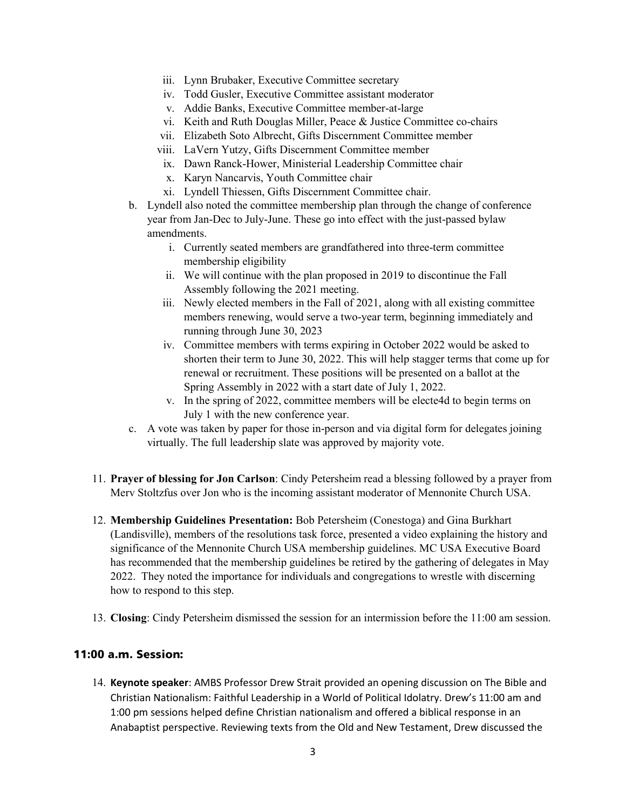- iii. Lynn Brubaker, Executive Committee secretary
- iv. Todd Gusler, Executive Committee assistant moderator
- v. Addie Banks, Executive Committee member-at-large
- vi. Keith and Ruth Douglas Miller, Peace & Justice Committee co-chairs
- vii. Elizabeth Soto Albrecht, Gifts Discernment Committee member
- viii. LaVern Yutzy, Gifts Discernment Committee member
- ix. Dawn Ranck-Hower, Ministerial Leadership Committee chair
- x. Karyn Nancarvis, Youth Committee chair
- xi. Lyndell Thiessen, Gifts Discernment Committee chair.
- b. Lyndell also noted the committee membership plan through the change of conference year from Jan-Dec to July-June. These go into effect with the just-passed bylaw amendments.
	- i. Currently seated members are grandfathered into three-term committee membership eligibility
	- ii. We will continue with the plan proposed in 2019 to discontinue the Fall Assembly following the 2021 meeting.
	- iii. Newly elected members in the Fall of 2021, along with all existing committee members renewing, would serve a two-year term, beginning immediately and running through June 30, 2023
	- iv. Committee members with terms expiring in October 2022 would be asked to shorten their term to June 30, 2022. This will help stagger terms that come up for renewal or recruitment. These positions will be presented on a ballot at the Spring Assembly in 2022 with a start date of July 1, 2022.
	- v. In the spring of 2022, committee members will be electe4d to begin terms on July 1 with the new conference year.
- c. A vote was taken by paper for those in-person and via digital form for delegates joining virtually. The full leadership slate was approved by majority vote.
- 11. **Prayer of blessing for Jon Carlson**: Cindy Petersheim read a blessing followed by a prayer from Merv Stoltzfus over Jon who is the incoming assistant moderator of Mennonite Church USA.
- 12. **Membership Guidelines Presentation:** Bob Petersheim (Conestoga) and Gina Burkhart (Landisville), members of the resolutions task force, presented a video explaining the history and significance of the Mennonite Church USA membership guidelines. MC USA Executive Board has recommended that the membership guidelines be retired by the gathering of delegates in May 2022. They noted the importance for individuals and congregations to wrestle with discerning how to respond to this step.
- 13. **Closing**: Cindy Petersheim dismissed the session for an intermission before the 11:00 am session.

## 11:00 a.m. Session:

14. **Keynote speaker**: AMBS Professor Drew Strait provided an opening discussion on The Bible and Christian Nationalism: Faithful Leadership in a World of Political Idolatry. Drew's 11:00 am and 1:00 pm sessions helped define Christian nationalism and offered a biblical response in an Anabaptist perspective. Reviewing texts from the Old and New Testament, Drew discussed the